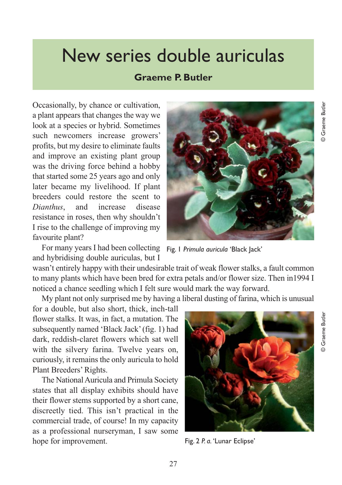## New series double auriculas

## **Graeme P. Butler**

Occasionally, by chance or cultivation, a plant appears that changes the way we look at a species or hybrid. Sometimes such newcomers increase growers' profits, but my desire to eliminate faults and improve an existing plant group was the driving force behind a hobby that started some 25 years ago and only later became my livelihood. If plant breeders could restore the scent to *Dianthus*, and increase disease resistance in roses, then why shouldn't I rise to the challenge of improving my favourite plant?

For many years I had been collecting Fig. 1 *Primula auricula* 'Black Jack' and hybridising double auriculas, but I

wasn't entirely happy with their undesirable trait of weak flower stalks, a fault common to many plants which have been bred for extra petals and/or flower size. Then in1994 I noticed a chance seedling which I felt sure would mark the way forward.

My plant not only surprised me by having a liberal dusting of farina, which is unusual

for a double, but also short, thick, inch-tall flower stalks. It was, in fact, a mutation. The subsequently named 'Black Jack' (fig. 1) had dark, reddish-claret flowers which sat well with the silvery farina. Twelve years on, curiously, it remains the only auricula to hold Plant Breeders' Rights.

The National Auricula and Primula Society states that all display exhibits should have their flower stems supported by a short cane, discreetly tied. This isn't practical in the commercial trade, of course! In my capacity as a professional nurseryman, I saw some hope for improvement.

Fig. 2 *P. a.* 'Lunar Eclipse'

© Graeme Butler

**Graeme Butler** 



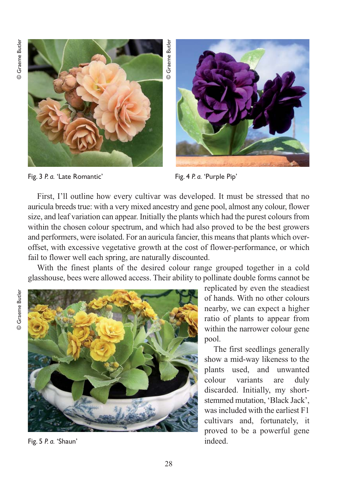© Graeme Butler © Graeme Butler





Fig. 3 *P. a.* 'Late Romantic' Fig. 4 *P. a.* 'Purple Pip'

First, I'll outline how every cultivar was developed. It must be stressed that no auricula breeds true: with a very mixed ancestry and gene pool, almost any colour, flower size, and leaf variation can appear. Initially the plants which had the purest colours from within the chosen colour spectrum, and which had also proved to be the best growers and performers, were isolated. For an auricula fancier, this means that plants which overoffset, with excessive vegetative growth at the cost of flower-performance, or which fail to flower well each spring, are naturally discounted.

With the finest plants of the desired colour range grouped together in a cold glasshouse, bees were allowed access. Their ability to pollinate double forms cannot be

© Graeme Butler© Graeme Butler



Fig. 5 *P. a.* 'Shaun'

replicated by even the steadiest of hands. With no other colours nearby, we can expect a higher ratio of plants to appear from within the narrower colour gene pool.

The first seedlings generally show a mid-way likeness to the plants used, and unwanted colour variants are duly discarded. Initially, my shortstemmed mutation, 'Black Jack', was included with the earliest F1 cultivars and, fortunately, it proved to be a powerful gene indeed.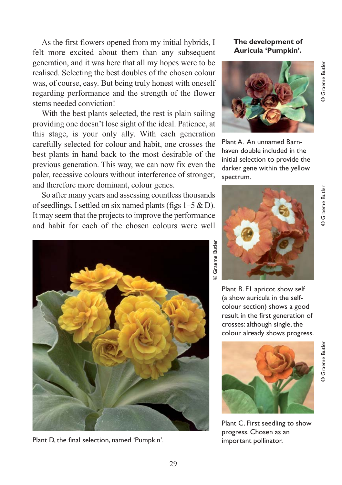As the first flowers opened from my initial hybrids, I felt more excited about them than any subsequent generation, and it was here that all my hopes were to be realised. Selecting the best doubles of the chosen colour was, of course, easy. But being truly honest with oneself regarding performance and the strength of the flower stems needed conviction!

With the best plants selected, the rest is plain sailing providing one doesn't lose sight of the ideal. Patience, at this stage, is your only ally. With each generation carefully selected for colour and habit, one crosses the best plants in hand back to the most desirable of the previous generation. This way, we can now fix even the paler, recessive colours without interference of stronger, and therefore more dominant, colour genes.

So after many years and assessing countless thousands of seedlings, I settled on six named plants (figs 1–5 & D). It may seem that the projects to improve the performance and habit for each of the chosen colours were well



Plant D, the final selection, named 'Pumpkin'. important pollinator.

**The development of Auricula 'Pumpkin'.**



Plant A. An unnamed Barnhaven double included in the initial selection to provide the darker gene within the yellow spectrum.



Plant B. F1 apricot show self (a show auricula in the selfcolour section) shows a good result in the first generation of crosses: although single, the colour already shows progress.



Plant C. First seedling to show progress. Chosen as an

© Graeme Butler

**O** Graeme Butler